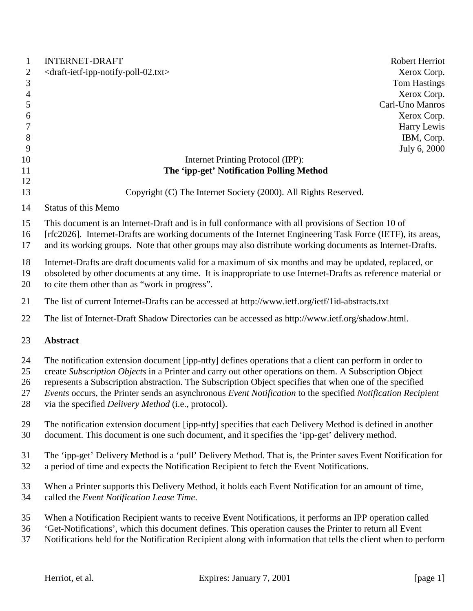| $\mathbf{1}$   | <b>INTERNET-DRAFT</b>                                                                                                                                                                                                                                                                                                        |                                                                                                                                                                                                           | Robert Herriot      |
|----------------|------------------------------------------------------------------------------------------------------------------------------------------------------------------------------------------------------------------------------------------------------------------------------------------------------------------------------|-----------------------------------------------------------------------------------------------------------------------------------------------------------------------------------------------------------|---------------------|
| $\mathfrak{2}$ | <draft-ietf-ipp-notify-poll-02.txt></draft-ietf-ipp-notify-poll-02.txt>                                                                                                                                                                                                                                                      |                                                                                                                                                                                                           | Xerox Corp.         |
| 3              |                                                                                                                                                                                                                                                                                                                              |                                                                                                                                                                                                           | <b>Tom Hastings</b> |
| $\overline{4}$ |                                                                                                                                                                                                                                                                                                                              |                                                                                                                                                                                                           | Xerox Corp.         |
| 5              |                                                                                                                                                                                                                                                                                                                              |                                                                                                                                                                                                           | Carl-Uno Manros     |
| 6              |                                                                                                                                                                                                                                                                                                                              |                                                                                                                                                                                                           | Xerox Corp.         |
| 7              |                                                                                                                                                                                                                                                                                                                              |                                                                                                                                                                                                           | Harry Lewis         |
| 8              |                                                                                                                                                                                                                                                                                                                              |                                                                                                                                                                                                           | IBM, Corp.          |
| 9              |                                                                                                                                                                                                                                                                                                                              |                                                                                                                                                                                                           | July 6, 2000        |
| 10             |                                                                                                                                                                                                                                                                                                                              | Internet Printing Protocol (IPP):                                                                                                                                                                         |                     |
| 11             |                                                                                                                                                                                                                                                                                                                              | The 'ipp-get' Notification Polling Method                                                                                                                                                                 |                     |
| 12             |                                                                                                                                                                                                                                                                                                                              |                                                                                                                                                                                                           |                     |
| 13             |                                                                                                                                                                                                                                                                                                                              | Copyright (C) The Internet Society (2000). All Rights Reserved.                                                                                                                                           |                     |
|                |                                                                                                                                                                                                                                                                                                                              |                                                                                                                                                                                                           |                     |
| 14             | <b>Status of this Memo</b>                                                                                                                                                                                                                                                                                                   |                                                                                                                                                                                                           |                     |
| 15<br>16<br>17 | This document is an Internet-Draft and is in full conformance with all provisions of Section 10 of<br>[rfc2026]. Internet-Drafts are working documents of the Internet Engineering Task Force (IETF), its areas,<br>and its working groups. Note that other groups may also distribute working documents as Internet-Drafts. |                                                                                                                                                                                                           |                     |
| 18<br>19<br>20 | Internet-Drafts are draft documents valid for a maximum of six months and may be updated, replaced, or<br>obsoleted by other documents at any time. It is inappropriate to use Internet-Drafts as reference material or<br>to cite them other than as "work in progress".                                                    |                                                                                                                                                                                                           |                     |
| 21             |                                                                                                                                                                                                                                                                                                                              | The list of current Internet-Drafts can be accessed at http://www.ietf.org/ietf/1id-abstracts.txt                                                                                                         |                     |
| 22             | The list of Internet-Draft Shadow Directories can be accessed as http://www.ietf.org/shadow.html.                                                                                                                                                                                                                            |                                                                                                                                                                                                           |                     |
| 23             | <b>Abstract</b>                                                                                                                                                                                                                                                                                                              |                                                                                                                                                                                                           |                     |
| 24             |                                                                                                                                                                                                                                                                                                                              | The notification extension document [ipp-ntfy] defines operations that a client can perform in order to                                                                                                   |                     |
| 25             |                                                                                                                                                                                                                                                                                                                              | create Subscription Objects in a Printer and carry out other operations on them. A Subscription Object                                                                                                    |                     |
| 26             |                                                                                                                                                                                                                                                                                                                              | represents a Subscription abstraction. The Subscription Object specifies that when one of the specified                                                                                                   |                     |
| 27             |                                                                                                                                                                                                                                                                                                                              | Events occurs, the Printer sends an asynchronous Event Notification to the specified Notification Recipient                                                                                               |                     |
| 28             | via the specified <i>Delivery Method</i> (i.e., protocol).                                                                                                                                                                                                                                                                   |                                                                                                                                                                                                           |                     |
| 29<br>30       |                                                                                                                                                                                                                                                                                                                              | The notification extension document [ipp-ntfy] specifies that each Delivery Method is defined in another<br>document. This document is one such document, and it specifies the 'ipp-get' delivery method. |                     |
| 31<br>32       | The 'ipp-get' Delivery Method is a 'pull' Delivery Method. That is, the Printer saves Event Notification for<br>a period of time and expects the Notification Recipient to fetch the Event Notifications.                                                                                                                    |                                                                                                                                                                                                           |                     |
| 33             |                                                                                                                                                                                                                                                                                                                              | When a Printer supports this Delivery Method, it holds each Event Notification for an amount of time,                                                                                                     |                     |
| 34             | called the Event Notification Lease Time.                                                                                                                                                                                                                                                                                    |                                                                                                                                                                                                           |                     |
| 35             |                                                                                                                                                                                                                                                                                                                              | When a Notification Recipient wants to receive Event Notifications, it performs an IPP operation called                                                                                                   |                     |
| 36             |                                                                                                                                                                                                                                                                                                                              | 'Get-Notifications', which this document defines. This operation causes the Printer to return all Event                                                                                                   |                     |
| 37             |                                                                                                                                                                                                                                                                                                                              | Notifications held for the Notification Recipient along with information that tells the client when to perform                                                                                            |                     |
|                | Herriot, et al.                                                                                                                                                                                                                                                                                                              | Expires: January 7, 2001                                                                                                                                                                                  | [ $page 1$ ]        |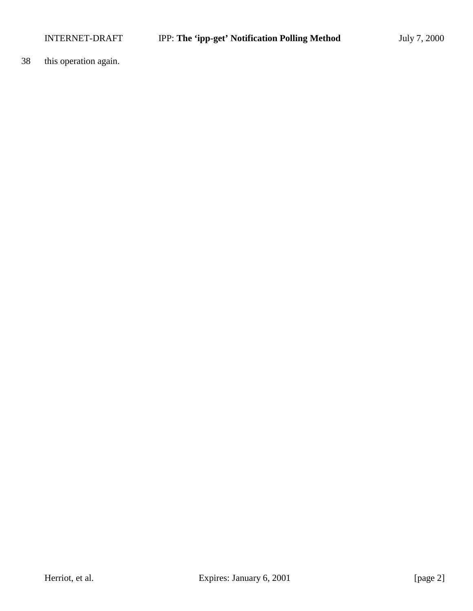38 this operation again.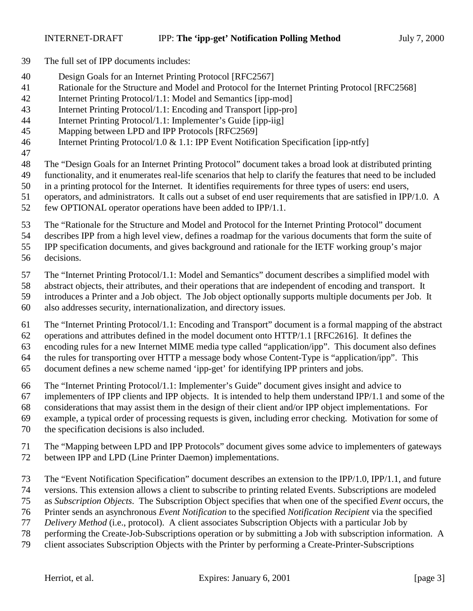- The full set of IPP documents includes:
- Design Goals for an Internet Printing Protocol [RFC2567]
- Rationale for the Structure and Model and Protocol for the Internet Printing Protocol [RFC2568]
- Internet Printing Protocol/1.1: Model and Semantics [ipp-mod]
- Internet Printing Protocol/1.1: Encoding and Transport [ipp-pro]
- Internet Printing Protocol/1.1: Implementer's Guide [ipp-iig]
- Mapping between LPD and IPP Protocols [RFC2569]
- Internet Printing Protocol/1.0 & 1.1: IPP Event Notification Specification [ipp-ntfy]
- 
- The "Design Goals for an Internet Printing Protocol" document takes a broad look at distributed printing
- functionality, and it enumerates real-life scenarios that help to clarify the features that need to be included
- in a printing protocol for the Internet. It identifies requirements for three types of users: end users,
- operators, and administrators. It calls out a subset of end user requirements that are satisfied in IPP/1.0. A few OPTIONAL operator operations have been added to IPP/1.1.
- The "Rationale for the Structure and Model and Protocol for the Internet Printing Protocol" document
- describes IPP from a high level view, defines a roadmap for the various documents that form the suite of

IPP specification documents, and gives background and rationale for the IETF working group's major

decisions.

The "Internet Printing Protocol/1.1: Model and Semantics" document describes a simplified model with

- abstract objects, their attributes, and their operations that are independent of encoding and transport. It
- introduces a Printer and a Job object. The Job object optionally supports multiple documents per Job. It
- also addresses security, internationalization, and directory issues.

The "Internet Printing Protocol/1.1: Encoding and Transport" document is a formal mapping of the abstract

- operations and attributes defined in the model document onto HTTP/1.1 [RFC2616]. It defines the
- encoding rules for a new Internet MIME media type called "application/ipp". This document also defines the rules for transporting over HTTP a message body whose Content-Type is "application/ipp". This
- document defines a new scheme named 'ipp-get' for identifying IPP printers and jobs.
- The "Internet Printing Protocol/1.1: Implementer's Guide" document gives insight and advice to
- implementers of IPP clients and IPP objects. It is intended to help them understand IPP/1.1 and some of the
- considerations that may assist them in the design of their client and/or IPP object implementations. For

example, a typical order of processing requests is given, including error checking. Motivation for some of

- the specification decisions is also included.
- The "Mapping between LPD and IPP Protocols" document gives some advice to implementers of gateways between IPP and LPD (Line Printer Daemon) implementations.
- The "Event Notification Specification" document describes an extension to the IPP/1.0, IPP/1.1, and future
- versions. This extension allows a client to subscribe to printing related Events. Subscriptions are modeled
- as *Subscription Objects*. The Subscription Object specifies that when one of the specified *Event* occurs, the
- Printer sends an asynchronous *Event Notification* to the specified *Notification Recipient* via the specified
- *Delivery Method* (i.e., protocol). A client associates Subscription Objects with a particular Job by
- performing the Create-Job-Subscriptions operation or by submitting a Job with subscription information. A
- client associates Subscription Objects with the Printer by performing a Create-Printer-Subscriptions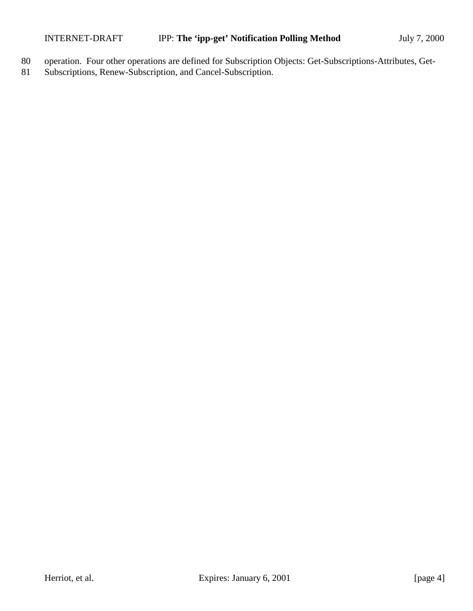- 80 operation. Four other operations are defined for Subscription Objects: Get-Subscriptions-Attributes, Get-
- 81 Subscriptions, Renew-Subscription, and Cancel-Subscription.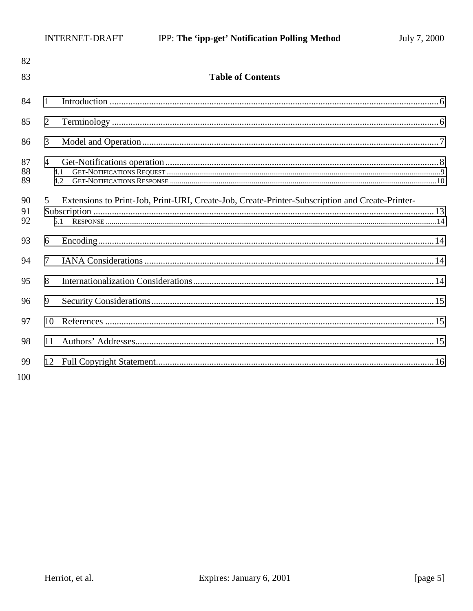| 82             |                                                                                                             |  |
|----------------|-------------------------------------------------------------------------------------------------------------|--|
| 83             | <b>Table of Contents</b>                                                                                    |  |
| 84             | 1                                                                                                           |  |
| 85             | $\overline{2}$                                                                                              |  |
| 86             | 3                                                                                                           |  |
| 87<br>88<br>89 | $\overline{4}$<br>4.1<br>4.2                                                                                |  |
| 90<br>91<br>92 | Extensions to Print-Job, Print-URI, Create-Job, Create-Printer-Subscription and Create-Printer-<br>5<br>5.1 |  |
| 93             | 6                                                                                                           |  |
| 94             | $\overline{7}$                                                                                              |  |
| 95             | 8                                                                                                           |  |
| 96             | 9                                                                                                           |  |
| 97             | 10                                                                                                          |  |
| 98             | 11                                                                                                          |  |
| 99<br>100      |                                                                                                             |  |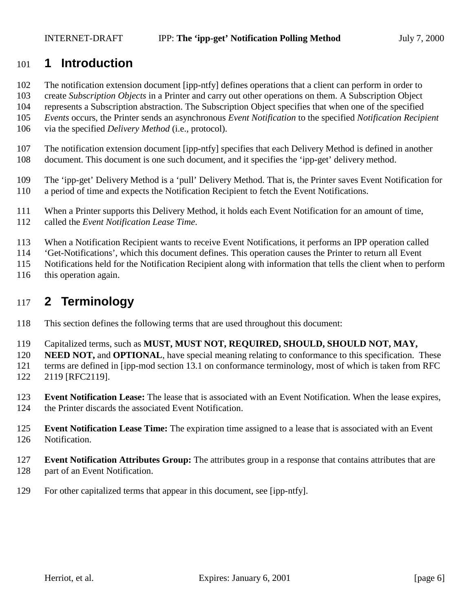## <span id="page-5-0"></span>**1 Introduction**

The notification extension document [ipp-ntfy] defines operations that a client can perform in order to

create *Subscription Objects* in a Printer and carry out other operations on them. A Subscription Object

represents a Subscription abstraction. The Subscription Object specifies that when one of the specified

*Events* occurs, the Printer sends an asynchronous *Event Notification* to the specified *Notification Recipient*

- via the specified *Delivery Method* (i.e., protocol).
- The notification extension document [ipp-ntfy] specifies that each Delivery Method is defined in another
- document. This document is one such document, and it specifies the 'ipp-get' delivery method.
- The 'ipp-get' Delivery Method is a 'pull' Delivery Method. That is, the Printer saves Event Notification for a period of time and expects the Notification Recipient to fetch the Event Notifications.
- When a Printer supports this Delivery Method, it holds each Event Notification for an amount of time,
- called the *Event Notification Lease Time*.
- When a Notification Recipient wants to receive Event Notifications, it performs an IPP operation called
- 'Get-Notifications', which this document defines. This operation causes the Printer to return all Event
- Notifications held for the Notification Recipient along with information that tells the client when to perform
- this operation again.

## **2 Terminology**

- This section defines the following terms that are used throughout this document:
- Capitalized terms, such as **MUST, MUST NOT, REQUIRED, SHOULD, SHOULD NOT, MAY,**
- **NEED NOT, and OPTIONAL**, have special meaning relating to conformance to this specification. These
- terms are defined in [ipp-mod section 13.1 on conformance terminology, most of which is taken from RFC
- 2119 [RFC2119].
- **Event Notification Lease:** The lease that is associated with an Event Notification. When the lease expires, the Printer discards the associated Event Notification.
- **Event Notification Lease Time:** The expiration time assigned to a lease that is associated with an Event Notification.
- **Event Notification Attributes Group:** The attributes group in a response that contains attributes that are 128 part of an Event Notification.
- For other capitalized terms that appear in this document, see [ipp-ntfy].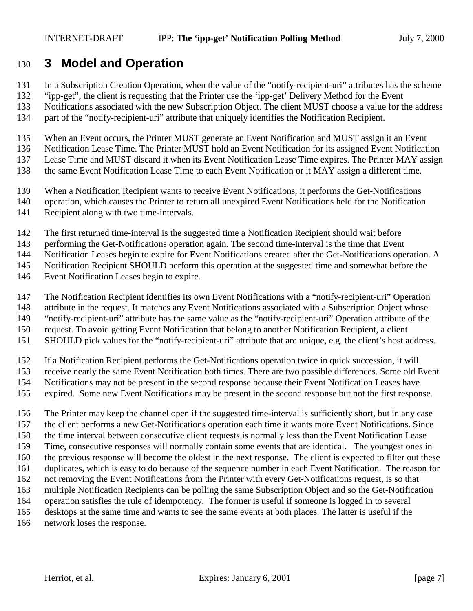## <span id="page-6-0"></span>**3 Model and Operation**

- In a Subscription Creation Operation, when the value of the "notify-recipient-uri" attributes has the scheme
- "ipp-get", the client is requesting that the Printer use the 'ipp-get' Delivery Method for the Event
- Notifications associated with the new Subscription Object. The client MUST choose a value for the address
- part of the "notify-recipient-uri" attribute that uniquely identifies the Notification Recipient.
- When an Event occurs, the Printer MUST generate an Event Notification and MUST assign it an Event
- Notification Lease Time. The Printer MUST hold an Event Notification for its assigned Event Notification
- Lease Time and MUST discard it when its Event Notification Lease Time expires. The Printer MAY assign
- the same Event Notification Lease Time to each Event Notification or it MAY assign a different time.
- When a Notification Recipient wants to receive Event Notifications, it performs the Get-Notifications
- operation, which causes the Printer to return all unexpired Event Notifications held for the Notification
- Recipient along with two time-intervals.
- The first returned time-interval is the suggested time a Notification Recipient should wait before
- performing the Get-Notifications operation again. The second time-interval is the time that Event
- Notification Leases begin to expire for Event Notifications created after the Get-Notifications operation. A

Notification Recipient SHOULD perform this operation at the suggested time and somewhat before the

- Event Notification Leases begin to expire.
- The Notification Recipient identifies its own Event Notifications with a "notify-recipient-uri" Operation
- attribute in the request. It matches any Event Notifications associated with a Subscription Object whose
- "notify-recipient-uri" attribute has the same value as the "notify-recipient-uri" Operation attribute of the
- request. To avoid getting Event Notification that belong to another Notification Recipient, a client
- SHOULD pick values for the "notify-recipient-uri" attribute that are unique, e.g. the client's host address.
- If a Notification Recipient performs the Get-Notifications operation twice in quick succession, it will
- receive nearly the same Event Notification both times. There are two possible differences. Some old Event
- Notifications may not be present in the second response because their Event Notification Leases have
- expired. Some new Event Notifications may be present in the second response but not the first response.
- The Printer may keep the channel open if the suggested time-interval is sufficiently short, but in any case the client performs a new Get-Notifications operation each time it wants more Event Notifications. Since the time interval between consecutive client requests is normally less than the Event Notification Lease Time, consecutive responses will normally contain some events that are identical. The youngest ones in the previous response will become the oldest in the next response. The client is expected to filter out these duplicates, which is easy to do because of the sequence number in each Event Notification. The reason for not removing the Event Notifications from the Printer with every Get-Notifications request, is so that multiple Notification Recipients can be polling the same Subscription Object and so the Get-Notification operation satisfies the rule of idempotency. The former is useful if someone is logged in to several desktops at the same time and wants to see the same events at both places. The latter is useful if the network loses the response.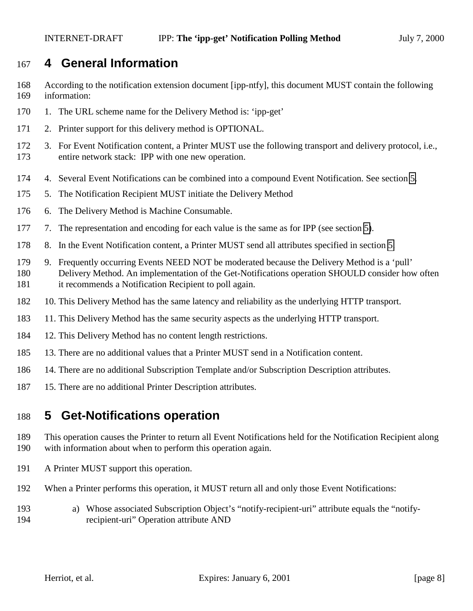## <span id="page-7-0"></span>**4 General Information**

- According to the notification extension document [ipp-ntfy], this document MUST contain the following information:
- 1. The URL scheme name for the Delivery Method is: 'ipp-get'
- 2. Printer support for this delivery method is OPTIONAL.
- 3. For Event Notification content, a Printer MUST use the following transport and delivery protocol, i.e., entire network stack: IPP with one new operation.
- 4. Several Event Notifications can be combined into a compound Event Notification. See section 5.
- 5. The Notification Recipient MUST initiate the Delivery Method
- 6. The Delivery Method is Machine Consumable.
- 177 7. The representation and encoding for each value is the same as for IPP (see section 5).
- 8. In the Event Notification content, a Printer MUST send all attributes specified in section 5.
- 9. Frequently occurring Events NEED NOT be moderated because the Delivery Method is a 'pull' Delivery Method. An implementation of the Get-Notifications operation SHOULD consider how often it recommends a Notification Recipient to poll again.
- 10. This Delivery Method has the same latency and reliability as the underlying HTTP transport.
- 11. This Delivery Method has the same security aspects as the underlying HTTP transport.
- 12. This Delivery Method has no content length restrictions.
- 13. There are no additional values that a Printer MUST send in a Notification content.
- 14. There are no additional Subscription Template and/or Subscription Description attributes.
- 15. There are no additional Printer Description attributes.

## **5 Get-Notifications operation**

- This operation causes the Printer to return all Event Notifications held for the Notification Recipient along with information about when to perform this operation again.
- A Printer MUST support this operation.
- When a Printer performs this operation, it MUST return all and only those Event Notifications:
- a) Whose associated Subscription Object's "notify-recipient-uri" attribute equals the "notify-recipient-uri" Operation attribute AND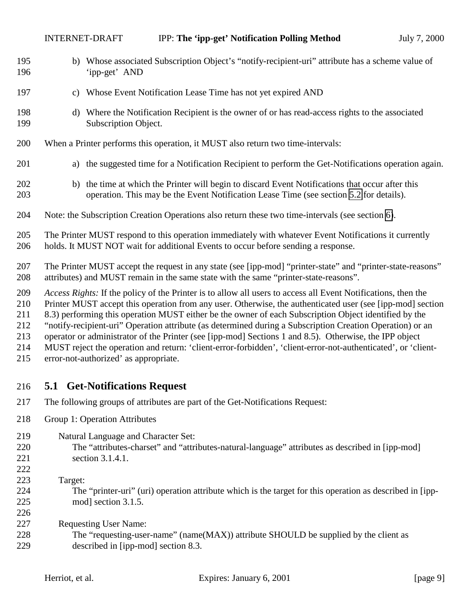<span id="page-8-0"></span>

| 195<br>196                                    |                                                                                                                                                                                                                                                                                                                                                                                                                                                                                                                                                                                                                                                                                                                       | b) Whose associated Subscription Object's "notify-recipient-uri" attribute has a scheme value of<br>'ipp-get' AND                                                                           |  |
|-----------------------------------------------|-----------------------------------------------------------------------------------------------------------------------------------------------------------------------------------------------------------------------------------------------------------------------------------------------------------------------------------------------------------------------------------------------------------------------------------------------------------------------------------------------------------------------------------------------------------------------------------------------------------------------------------------------------------------------------------------------------------------------|---------------------------------------------------------------------------------------------------------------------------------------------------------------------------------------------|--|
| 197                                           | c)                                                                                                                                                                                                                                                                                                                                                                                                                                                                                                                                                                                                                                                                                                                    | Whose Event Notification Lease Time has not yet expired AND                                                                                                                                 |  |
| 198<br>199                                    | d)                                                                                                                                                                                                                                                                                                                                                                                                                                                                                                                                                                                                                                                                                                                    | Where the Notification Recipient is the owner of or has read-access rights to the associated<br>Subscription Object.                                                                        |  |
| 200                                           |                                                                                                                                                                                                                                                                                                                                                                                                                                                                                                                                                                                                                                                                                                                       | When a Printer performs this operation, it MUST also return two time-intervals:                                                                                                             |  |
| 201                                           | a)                                                                                                                                                                                                                                                                                                                                                                                                                                                                                                                                                                                                                                                                                                                    | the suggested time for a Notification Recipient to perform the Get-Notifications operation again.                                                                                           |  |
| 202<br>203                                    |                                                                                                                                                                                                                                                                                                                                                                                                                                                                                                                                                                                                                                                                                                                       | b) the time at which the Printer will begin to discard Event Notifications that occur after this<br>operation. This may be the Event Notification Lease Time (see section 5.2 for details). |  |
| 204                                           |                                                                                                                                                                                                                                                                                                                                                                                                                                                                                                                                                                                                                                                                                                                       | Note: the Subscription Creation Operations also return these two time-intervals (see section 6).                                                                                            |  |
| 205<br>206                                    |                                                                                                                                                                                                                                                                                                                                                                                                                                                                                                                                                                                                                                                                                                                       | The Printer MUST respond to this operation immediately with whatever Event Notifications it currently<br>holds. It MUST NOT wait for additional Events to occur before sending a response.  |  |
| 207<br>208                                    | The Printer MUST accept the request in any state (see [ipp-mod] "printer-state" and "printer-state-reasons"<br>attributes) and MUST remain in the same state with the same "printer-state-reasons".                                                                                                                                                                                                                                                                                                                                                                                                                                                                                                                   |                                                                                                                                                                                             |  |
| 209<br>210<br>211<br>212<br>213<br>214<br>215 | Access Rights: If the policy of the Printer is to allow all users to access all Event Notifications, then the<br>Printer MUST accept this operation from any user. Otherwise, the authenticated user (see [ipp-mod] section<br>8.3) performing this operation MUST either be the owner of each Subscription Object identified by the<br>"notify-recipient-uri" Operation attribute (as determined during a Subscription Creation Operation) or an<br>operator or administrator of the Printer (see [ipp-mod] Sections 1 and 8.5). Otherwise, the IPP object<br>MUST reject the operation and return: 'client-error-forbidden', 'client-error-not-authenticated', or 'client-<br>error-not-authorized' as appropriate. |                                                                                                                                                                                             |  |
| 216                                           |                                                                                                                                                                                                                                                                                                                                                                                                                                                                                                                                                                                                                                                                                                                       | <b>5.1 Get-Notifications Request</b>                                                                                                                                                        |  |
| 217                                           |                                                                                                                                                                                                                                                                                                                                                                                                                                                                                                                                                                                                                                                                                                                       | The following groups of attributes are part of the Get-Notifications Request:                                                                                                               |  |
| 218                                           |                                                                                                                                                                                                                                                                                                                                                                                                                                                                                                                                                                                                                                                                                                                       | Group 1: Operation Attributes                                                                                                                                                               |  |
| 219<br>220<br>221<br>222                      |                                                                                                                                                                                                                                                                                                                                                                                                                                                                                                                                                                                                                                                                                                                       | Natural Language and Character Set:<br>The "attributes-charset" and "attributes-natural-language" attributes as described in [ipp-mod]<br>section 3.1.4.1.                                  |  |
| 223<br>224                                    | Target:                                                                                                                                                                                                                                                                                                                                                                                                                                                                                                                                                                                                                                                                                                               | The "printer-uri" (uri) operation attribute which is the target for this operation as described in [ipp-                                                                                    |  |

 mod] section 3.1.5. 

Requesting User Name:

228 The "requesting-user-name" (name(MAX)) attribute SHOULD be supplied by the client as described in [ipp-mod] section 8.3. described in [ipp-mod] section 8.3.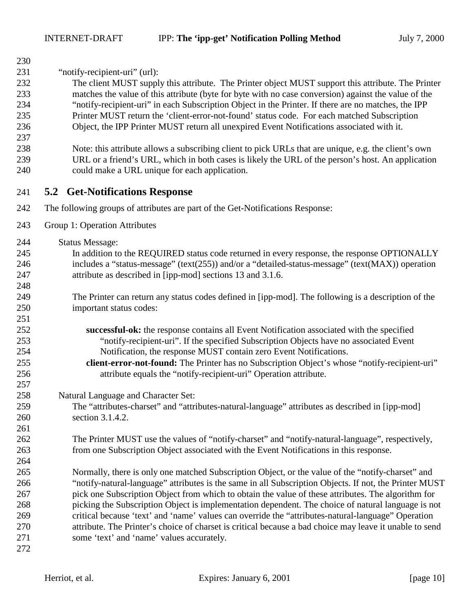<span id="page-9-0"></span>

| 230 |                                                                                                         |
|-----|---------------------------------------------------------------------------------------------------------|
| 231 | "notify-recipient-uri" (url):                                                                           |
| 232 | The client MUST supply this attribute. The Printer object MUST support this attribute. The Printer      |
| 233 | matches the value of this attribute (byte for byte with no case conversion) against the value of the    |
| 234 | "notify-recipient-uri" in each Subscription Object in the Printer. If there are no matches, the IPP     |
| 235 | Printer MUST return the 'client-error-not-found' status code. For each matched Subscription             |
| 236 | Object, the IPP Printer MUST return all unexpired Event Notifications associated with it.               |
| 237 |                                                                                                         |
| 238 | Note: this attribute allows a subscribing client to pick URLs that are unique, e.g. the client's own    |
| 239 | URL or a friend's URL, which in both cases is likely the URL of the person's host. An application       |
| 240 | could make a URL unique for each application.                                                           |
| 241 | <b>5.2 Get-Notifications Response</b>                                                                   |
| 242 | The following groups of attributes are part of the Get-Notifications Response:                          |
| 243 | Group 1: Operation Attributes                                                                           |
| 244 | <b>Status Message:</b>                                                                                  |
| 245 | In addition to the REQUIRED status code returned in every response, the response OPTIONALLY             |
| 246 | includes a "status-message" (text(255)) and/or a "detailed-status-message" (text(MAX)) operation        |
| 247 | attribute as described in [ipp-mod] sections 13 and 3.1.6.                                              |
| 248 |                                                                                                         |
| 249 | The Printer can return any status codes defined in [ipp-mod]. The following is a description of the     |
| 250 | important status codes:                                                                                 |
| 251 |                                                                                                         |
| 252 | successful-ok: the response contains all Event Notification associated with the specified               |
| 253 | "notify-recipient-uri". If the specified Subscription Objects have no associated Event                  |
| 254 | Notification, the response MUST contain zero Event Notifications.                                       |
| 255 | client-error-not-found: The Printer has no Subscription Object's whose "notify-recipient-uri"           |
| 256 | attribute equals the "notify-recipient-uri" Operation attribute.                                        |
| 257 |                                                                                                         |
| 258 | Natural Language and Character Set:                                                                     |
| 259 | The "attributes-charset" and "attributes-natural-language" attributes as described in [ipp-mod]         |
| 260 | section 3.1.4.2.                                                                                        |
| 261 |                                                                                                         |
| 262 | The Printer MUST use the values of "notify-charset" and "notify-natural-language", respectively,        |
| 263 | from one Subscription Object associated with the Event Notifications in this response.                  |
| 264 |                                                                                                         |
| 265 | Normally, there is only one matched Subscription Object, or the value of the "notify-charset" and       |
| 266 | "notify-natural-language" attributes is the same in all Subscription Objects. If not, the Printer MUST  |
| 267 | pick one Subscription Object from which to obtain the value of these attributes. The algorithm for      |
| 268 | picking the Subscription Object is implementation dependent. The choice of natural language is not      |
| 269 | critical because 'text' and 'name' values can override the "attributes-natural-language" Operation      |
| 270 | attribute. The Printer's choice of charset is critical because a bad choice may leave it unable to send |
| 271 | some 'text' and 'name' values accurately.                                                               |
| 272 |                                                                                                         |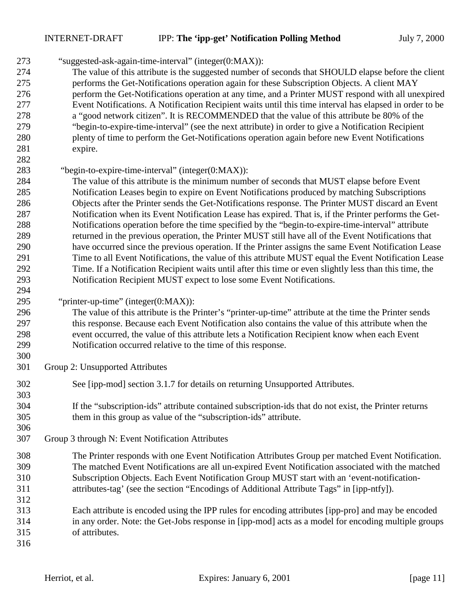"suggested-ask-again-time-interval" (integer(0:MAX)):

- The value of this attribute is the suggested number of seconds that SHOULD elapse before the client performs the Get-Notifications operation again for these Subscription Objects. A client MAY perform the Get-Notifications operation at any time, and a Printer MUST respond with all unexpired Event Notifications. A Notification Recipient waits until this time interval has elapsed in order to be a "good network citizen". It is RECOMMENDED that the value of this attribute be 80% of the "begin-to-expire-time-interval" (see the next attribute) in order to give a Notification Recipient plenty of time to perform the Get-Notifications operation again before new Event Notifications expire.
- 

#### 283 "begin-to-expire-time-interval" (integer(0:MAX)):

- The value of this attribute is the minimum number of seconds that MUST elapse before Event Notification Leases begin to expire on Event Notifications produced by matching Subscriptions Objects after the Printer sends the Get-Notifications response. The Printer MUST discard an Event Notification when its Event Notification Lease has expired. That is, if the Printer performs the Get- Notifications operation before the time specified by the "begin-to-expire-time-interval" attribute returned in the previous operation, the Printer MUST still have all of the Event Notifications that have occurred since the previous operation. If the Printer assigns the same Event Notification Lease Time to all Event Notifications, the value of this attribute MUST equal the Event Notification Lease Time. If a Notification Recipient waits until after this time or even slightly less than this time, the Notification Recipient MUST expect to lose some Event Notifications.
- "printer-up-time" (integer(0:MAX)):
- The value of this attribute is the Printer's "printer-up-time" attribute at the time the Printer sends this response. Because each Event Notification also contains the value of this attribute when the event occurred, the value of this attribute lets a Notification Recipient know when each Event Notification occurred relative to the time of this response.
- Group 2: Unsupported Attributes
- See [ipp-mod] section 3.1.7 for details on returning Unsupported Attributes.
- If the "subscription-ids" attribute contained subscription-ids that do not exist, the Printer returns them in this group as value of the "subscription-ids" attribute.
- Group 3 through N: Event Notification Attributes
- The Printer responds with one Event Notification Attributes Group per matched Event Notification. The matched Event Notifications are all un-expired Event Notification associated with the matched Subscription Objects. Each Event Notification Group MUST start with an 'event-notification-attributes-tag' (see the section "Encodings of Additional Attribute Tags" in [ipp-ntfy]).
- Each attribute is encoded using the IPP rules for encoding attributes [ipp-pro] and may be encoded in any order. Note: the Get-Jobs response in [ipp-mod] acts as a model for encoding multiple groups of attributes.
-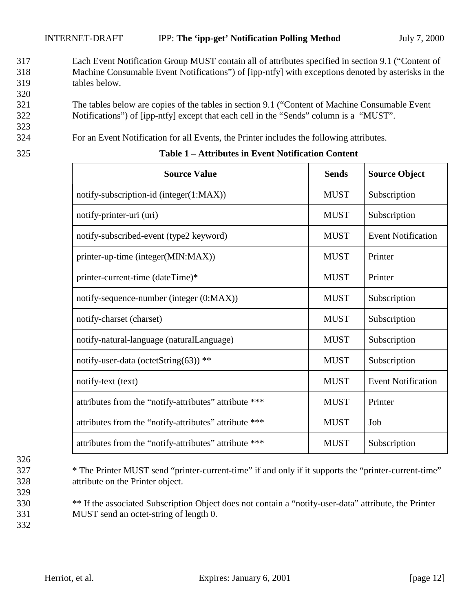- 317 Each Event Notification Group MUST contain all of attributes specified in section 9.1 ("Content of 318 Machine Consumable Event Notifications") of [ipp-ntfy] with exceptions denoted by asterisks in the 319 tables below.
- 321 The tables below are copies of the tables in section 9.1 ("Content of Machine Consumable Event 322 Notifications") of [ipp-ntfy] except that each cell in the "Sends" column is a "MUST".
- 324 For an Event Notification for all Events, the Printer includes the following attributes.

| ۰.<br>I<br>۰.<br>×<br>× |  |
|-------------------------|--|

 $\Gamma$ 

320

323

| <b>Source Value</b>                                   | <b>Sends</b> | <b>Source Object</b>      |
|-------------------------------------------------------|--------------|---------------------------|
| notify-subscription-id (integer(1:MAX))               | <b>MUST</b>  | Subscription              |
| notify-printer-uri (uri)                              | <b>MUST</b>  | Subscription              |
| notify-subscribed-event (type2 keyword)               | <b>MUST</b>  | <b>Event Notification</b> |
| printer-up-time (integer(MIN:MAX))                    | <b>MUST</b>  | Printer                   |
| printer-current-time (dateTime)*                      | <b>MUST</b>  | Printer                   |
| notify-sequence-number (integer (0:MAX))              | <b>MUST</b>  | Subscription              |
| notify-charset (charset)                              | <b>MUST</b>  | Subscription              |
| notify-natural-language (naturalLanguage)             | <b>MUST</b>  | Subscription              |
| notify-user-data (octetString(63)) **                 | <b>MUST</b>  | Subscription              |
| notify-text (text)                                    | <b>MUST</b>  | <b>Event Notification</b> |
| attributes from the "notify-attributes" attribute *** | <b>MUST</b>  | Printer                   |
| attributes from the "notify-attributes" attribute *** | <b>MUST</b>  | Job                       |
| attributes from the "notify-attributes" attribute *** | <b>MUST</b>  | Subscription              |

#### 325 **Table 1 – Attributes in Event Notification Content**

326 329

327 \* The Printer MUST send "printer-current-time" if and only if it supports the "printer-current-time" 328 attribute on the Printer object.

- 330 \*\* If the associated Subscription Object does not contain a "notify-user-data" attribute, the Printer 331 MUST send an octet-string of length 0.
- 332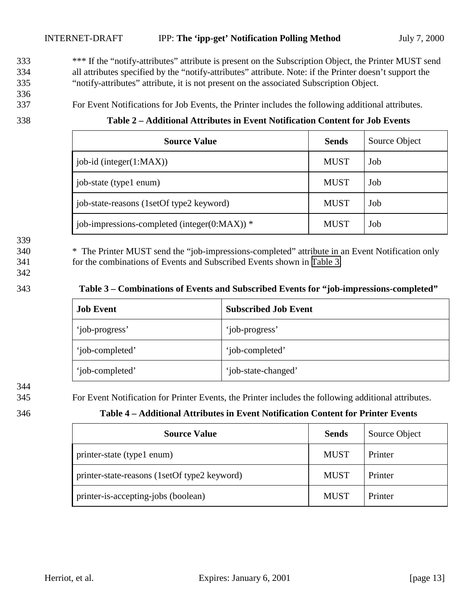<sup>\*\*\*</sup> If the "notify-attributes" attribute is present on the Subscription Object, the Printer MUST send 334 all attributes specified by the "notify-attributes" attribute. Note: if the Printer doesn't support the 335 "notify-attributes" attribute, it is not present on the associated Subscription Object.

336

337 For Event Notifications for Job Events, the Printer includes the following additional attributes.

### 338 **Table 2 – Additional Attributes in Event Notification Content for Job Events**

| <b>Source Value</b>                                | <b>Sends</b> | Source Object |
|----------------------------------------------------|--------------|---------------|
| job-id (integer $(1:MAX)$ )                        | <b>MUST</b>  | Job           |
| job-state (type1 enum)                             | <b>MUST</b>  | Job           |
| job-state-reasons (1setOf type2 keyword)           | <b>MUST</b>  | Job           |
| job-impressions-completed (integer( $0$ :MAX)) $*$ | <b>MUST</b>  | Job           |

339

340 \* The Printer MUST send the "job-impressions-completed" attribute in an Event Notification only 341 for the combinations of Events and Subscribed Events shown in Table 3.

342

#### 343 **Table 3 – Combinations of Events and Subscribed Events for "job-impressions-completed"**

| <b>Job Event</b> | <b>Subscribed Job Event</b> |
|------------------|-----------------------------|
| 'job-progress'   | 'job-progress'              |
| 'job-completed'  | 'job-completed'             |
| 'job-completed'  | 'job-state-changed'         |

344

345 For Event Notification for Printer Events, the Printer includes the following additional attributes.

#### 346 **Table 4 – Additional Attributes in Event Notification Content for Printer Events**

| <b>Source Value</b>                          | <b>Sends</b> | Source Object |
|----------------------------------------------|--------------|---------------|
| printer-state (type1 enum)                   | <b>MUST</b>  | Printer       |
| printer-state-reasons (1setOf type2 keyword) | <b>MUST</b>  | Printer       |
| printer-is-accepting-jobs (boolean)          | <b>MUST</b>  | Printer       |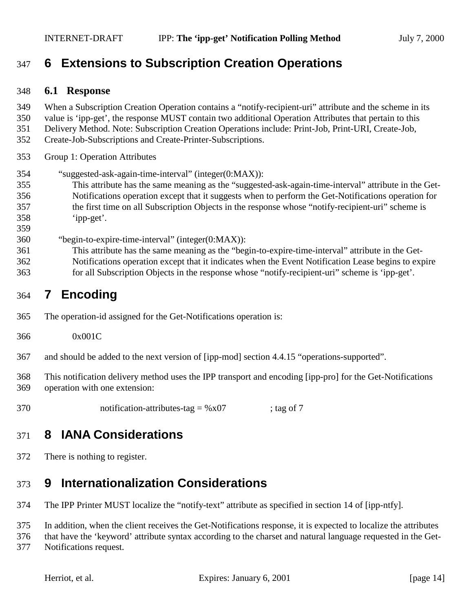## <span id="page-13-0"></span>**6 Extensions to Subscription Creation Operations**

#### **6.1 Response**

- When a Subscription Creation Operation contains a "notify-recipient-uri" attribute and the scheme in its
- value is 'ipp-get', the response MUST contain two additional Operation Attributes that pertain to this
- Delivery Method. Note: Subscription Creation Operations include: Print-Job, Print-URI, Create-Job,
- Create-Job-Subscriptions and Create-Printer-Subscriptions.
- Group 1: Operation Attributes
- "suggested-ask-again-time-interval" (integer(0:MAX)):
- This attribute has the same meaning as the "suggested-ask-again-time-interval" attribute in the Get- Notifications operation except that it suggests when to perform the Get-Notifications operation for the first time on all Subscription Objects in the response whose "notify-recipient-uri" scheme is 'ipp-get'.
- 
- "begin-to-expire-time-interval" (integer(0:MAX)):
- This attribute has the same meaning as the "begin-to-expire-time-interval" attribute in the Get-Notifications operation except that it indicates when the Event Notification Lease begins to expire
- for all Subscription Objects in the response whose "notify-recipient-uri" scheme is 'ipp-get'.

## **7 Encoding**

- The operation-id assigned for the Get-Notifications operation is:
- 0x001C
- and should be added to the next version of [ipp-mod] section 4.4.15 "operations-supported".
- This notification delivery method uses the IPP transport and encoding [ipp-pro] for the Get-Notifications operation with one extension:
- notification-attributes-tag = %x07 ; tag of 7

## **8 IANA Considerations**

There is nothing to register.

# **9 Internationalization Considerations**

The IPP Printer MUST localize the "notify-text" attribute as specified in section 14 of [ipp-ntfy].

In addition, when the client receives the Get-Notifications response, it is expected to localize the attributes

that have the 'keyword' attribute syntax according to the charset and natural language requested in the Get-

Notifications request.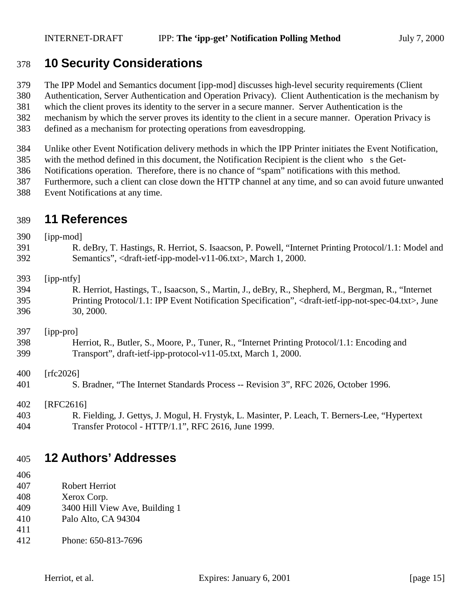## <span id="page-14-0"></span>**10 Security Considerations**

- The IPP Model and Semantics document [ipp-mod] discusses high-level security requirements (Client
- Authentication, Server Authentication and Operation Privacy). Client Authentication is the mechanism by
- which the client proves its identity to the server in a secure manner. Server Authentication is the
- mechanism by which the server proves its identity to the client in a secure manner. Operation Privacy is
- defined as a mechanism for protecting operations from eavesdropping.
- Unlike other Event Notification delivery methods in which the IPP Printer initiates the Event Notification,
- with the method defined in this document, the Notification Recipient is the client who s the Get-
- Notifications operation. Therefore, there is no chance of "spam" notifications with this method.
- Furthermore, such a client can close down the HTTP channel at any time, and so can avoid future unwanted
- Event Notifications at any time.

## **11 References**

| 390 | [ipp-mod]                                                                                                                             |
|-----|---------------------------------------------------------------------------------------------------------------------------------------|
| 391 | R. deBry, T. Hastings, R. Herriot, S. Isaacson, P. Powell, "Internet Printing Protocol/1.1: Model and                                 |
| 392 | Semantics", <draft-ietf-ipp-model-v11-06.txt>, March 1, 2000.</draft-ietf-ipp-model-v11-06.txt>                                       |
| 393 | [ipp-ntfy]                                                                                                                            |
| 394 | R. Herriot, Hastings, T., Isaacson, S., Martin, J., deBry, R., Shepherd, M., Bergman, R., "Internet                                   |
| 395 | Printing Protocol/1.1: IPP Event Notification Specification", <draft-ietf-ipp-not-spec-04.txt>, June</draft-ietf-ipp-not-spec-04.txt> |
| 396 | 30, 2000.                                                                                                                             |
| 397 | [ipp-pro]                                                                                                                             |
| 398 | Herriot, R., Butler, S., Moore, P., Tuner, R., "Internet Printing Protocol/1.1: Encoding and                                          |
| 399 | Transport", draft-ietf-ipp-protocol-v11-05.txt, March 1, 2000.                                                                        |
| 400 | [rfc2026]                                                                                                                             |
| 401 | S. Bradner, "The Internet Standards Process -- Revision 3", RFC 2026, October 1996.                                                   |
| 402 | [RFC2616]                                                                                                                             |
| 403 | R. Fielding, J. Gettys, J. Mogul, H. Frystyk, L. Masinter, P. Leach, T. Berners-Lee, "Hypertext"                                      |
| 404 | Transfer Protocol - HTTP/1.1", RFC 2616, June 1999.                                                                                   |

## **12 Authors' Addresses**

- Robert Herriot
- Xerox Corp.
- 3400 Hill View Ave, Building 1
- Palo Alto, CA 94304
- 
- Phone: 650-813-7696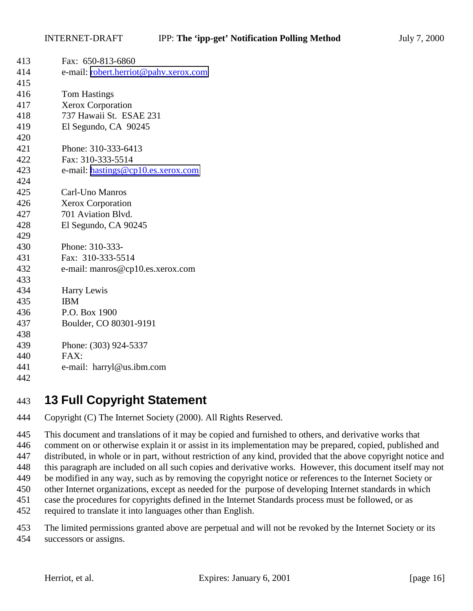<span id="page-15-0"></span>

| 413 | Fax: 650-813-6860                     |
|-----|---------------------------------------|
| 414 | e-mail: robert.herriot@pahv.xerox.com |
| 415 |                                       |
| 416 | <b>Tom Hastings</b>                   |
| 417 | Xerox Corporation                     |
| 418 | 737 Hawaii St. ESAE 231               |
| 419 | El Segundo, CA 90245                  |
| 420 |                                       |
| 421 | Phone: 310-333-6413                   |
| 422 | Fax: 310-333-5514                     |
| 423 | e-mail: hastings@cp10.es.xerox.com    |
| 424 |                                       |
| 425 | Carl-Uno Manros                       |
| 426 | <b>Xerox Corporation</b>              |
| 427 | 701 Aviation Blvd.                    |
| 428 | El Segundo, CA 90245                  |
| 429 |                                       |
| 430 | Phone: 310-333-                       |
| 431 | Fax: 310-333-5514                     |
| 432 | e-mail: manros@cp10.es.xerox.com      |
| 433 |                                       |
| 434 | Harry Lewis                           |
| 435 | <b>IBM</b>                            |
| 436 | P.O. Box 1900                         |
| 437 | Boulder, CO 80301-9191                |
| 438 |                                       |
| 439 | Phone: (303) 924-5337                 |
| 440 | FAX:                                  |
| 441 | e-mail: harryl@us.ibm.com             |
| 442 |                                       |
|     |                                       |

## **13 Full Copyright Statement**

Copyright (C) The Internet Society (2000). All Rights Reserved.

 This document and translations of it may be copied and furnished to others, and derivative works that comment on or otherwise explain it or assist in its implementation may be prepared, copied, published and distributed, in whole or in part, without restriction of any kind, provided that the above copyright notice and this paragraph are included on all such copies and derivative works. However, this document itself may not be modified in any way, such as by removing the copyright notice or references to the Internet Society or other Internet organizations, except as needed for the purpose of developing Internet standards in which case the procedures for copyrights defined in the Internet Standards process must be followed, or as required to translate it into languages other than English.

 The limited permissions granted above are perpetual and will not be revoked by the Internet Society or its successors or assigns.